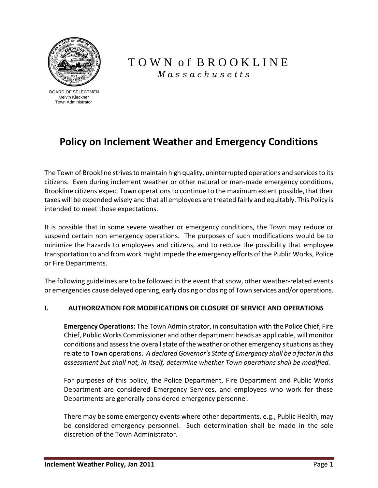

 BOARD OF SELECTMEN Melvin Kleckner Town Administrator

## T O W N o f B R O O K L I N E  *M a s s a c h u s e t t s*

# **Policy on Inclement Weather and Emergency Conditions**

The Town of Brookline strives to maintain high quality, uninterrupted operations and services to its citizens. Even during inclement weather or other natural or man-made emergency conditions, Brookline citizens expect Town operations to continue to the maximum extent possible, that their taxes will be expended wisely and that all employees are treated fairly and equitably. This Policy is intended to meet those expectations.

It is possible that in some severe weather or emergency conditions, the Town may reduce or suspend certain non emergency operations. The purposes of such modifications would be to minimize the hazards to employees and citizens, and to reduce the possibility that employee transportation to and from work might impede the emergency efforts of the Public Works, Police or Fire Departments.

The following guidelines are to be followed in the event that snow, other weather-related events or emergencies cause delayed opening, early closing or closing of Town services and/or operations.

## **I. AUTHORIZATION FOR MODIFICATIONS OR CLOSURE OF SERVICE AND OPERATIONS**

**Emergency Operations:** The Town Administrator, in consultation with the Police Chief, Fire Chief, Public Works Commissioner and other department heads as applicable, will monitor conditions and assess the overall state of the weather or other emergency situations as they relate to Town operations. *A declared Governor's State of Emergency shall be a factor in this assessment but shall not, in itself, determine whether Town operations shall be modified.*

For purposes of this policy, the Police Department, Fire Department and Public Works Department are considered Emergency Services, and employees who work for these Departments are generally considered emergency personnel.

There may be some emergency events where other departments, e.g., Public Health, may be considered emergency personnel. Such determination shall be made in the sole discretion of the Town Administrator.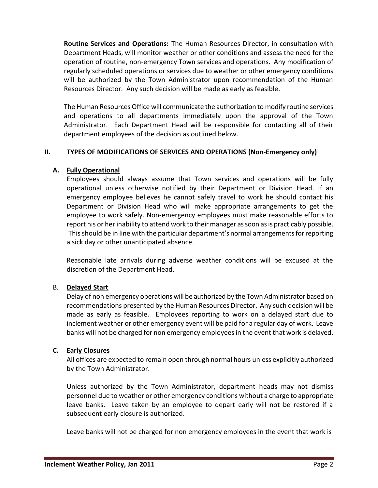**Routine Services and Operations:** The Human Resources Director, in consultation with Department Heads, will monitor weather or other conditions and assess the need for the operation of routine, non-emergency Town services and operations. Any modification of regularly scheduled operations or services due to weather or other emergency conditions will be authorized by the Town Administrator upon recommendation of the Human Resources Director. Any such decision will be made as early as feasible.

The Human Resources Office will communicate the authorization to modify routine services and operations to all departments immediately upon the approval of the Town Administrator. Each Department Head will be responsible for contacting all of their department employees of the decision as outlined below.

## **II. TYPES OF MODIFICATIONS OF SERVICES AND OPERATIONS (Non-Emergency only)**

## **A. Fully Operational**

Employees should always assume that Town services and operations will be fully operational unless otherwise notified by their Department or Division Head. If an emergency employee believes he cannot safely travel to work he should contact his Department or Division Head who will make appropriate arrangements to get the employee to work safely. Non-emergency employees must make reasonable efforts to report his or her inability to attend work to their manager as soon as is practicably possible. This should be in line with the particular department's normal arrangements for reporting a sick day or other unanticipated absence.

Reasonable late arrivals during adverse weather conditions will be excused at the discretion of the Department Head.

## B. **Delayed Start**

Delay of non emergency operations will be authorized by the Town Administrator based on recommendations presented by the Human Resources Director. Any such decision will be made as early as feasible. Employees reporting to work on a delayed start due to inclement weather or other emergency event will be paid for a regular day of work. Leave banks will not be charged for non emergency employees in the event that work is delayed.

## **C. Early Closures**

All offices are expected to remain open through normal hours unless explicitly authorized by the Town Administrator.

Unless authorized by the Town Administrator, department heads may not dismiss personnel due to weather or other emergency conditions without a charge to appropriate leave banks. Leave taken by an employee to depart early will not be restored if a subsequent early closure is authorized.

Leave banks will not be charged for non emergency employees in the event that work is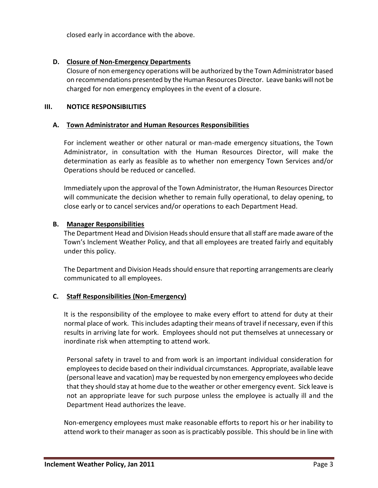closed early in accordance with the above.

#### **D. Closure of Non-Emergency Departments**

Closure of non emergency operations will be authorized by the Town Administrator based on recommendations presented by the Human Resources Director. Leave banks will not be charged for non emergency employees in the event of a closure.

#### **III. NOTICE RESPONSIBILITIES**

#### **A. Town Administrator and Human Resources Responsibilities**

For inclement weather or other natural or man-made emergency situations, the Town Administrator, in consultation with the Human Resources Director, will make the determination as early as feasible as to whether non emergency Town Services and/or Operations should be reduced or cancelled.

Immediately upon the approval of the Town Administrator, the Human Resources Director will communicate the decision whether to remain fully operational, to delay opening, to close early or to cancel services and/or operations to each Department Head.

#### **B. Manager Responsibilities**

The Department Head and Division Heads should ensure that all staff are made aware of the Town's Inclement Weather Policy, and that all employees are treated fairly and equitably under this policy.

The Department and Division Heads should ensure that reporting arrangements are clearly communicated to all employees.

## **C. Staff Responsibilities (Non-Emergency)**

It is the responsibility of the employee to make every effort to attend for duty at their normal place of work. This includes adapting their means of travel if necessary, even if this results in arriving late for work. Employees should not put themselves at unnecessary or inordinate risk when attempting to attend work.

Personal safety in travel to and from work is an important individual consideration for employees to decide based on their individual circumstances. Appropriate, available leave (personal leave and vacation) may be requested by non emergency employees who decide that they should stay at home due to the weather or other emergency event. Sick leave is not an appropriate leave for such purpose unless the employee is actually ill and the Department Head authorizes the leave.

Non-emergency employees must make reasonable efforts to report his or her inability to attend work to their manager as soon as is practicably possible. This should be in line with